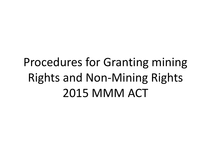# Procedures for Granting mining Rights and Non-Mining Rights 2015 MMM ACT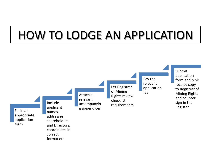## HOW TO LODGE AN APPLICATION

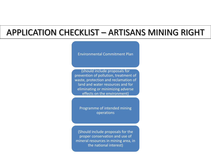### APPLICATION CHECKLIST – ARTISANS MINING RIGHT

Environmental Commitment Plan

(should include proposals for prevention of pollution, treatment of waste, protection and reclamation of land and water resources and for eliminating or minimizing adverse effects on the environment)

Programme of intended mining operations

(Should include proposals for the proper conservation and use of mineral resources in mining area, in the national interest)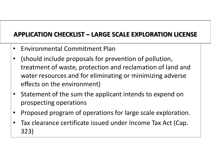#### **APPLICATION CHECKLIST – LARGE SCALE EXPLORATION LICENSE**

- Environmental Commitment Plan
- (should include proposals for prevention of pollution, treatment of waste, protection and reclamation of land and water resources and for eliminating or minimizing adverse effects on the environment)
- Statement of the sum the applicant intends to expend on prospecting operations
- Proposed program of operations for large scale exploration.
- Tax clearance certificate issued under Income Tax Act (Cap. 323)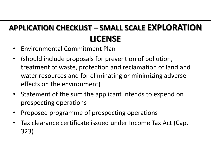### **APPLICATION CHECKLIST – SMALL SCALE EXPLORATION LICENSE**

- Environmental Commitment Plan
- (should include proposals for prevention of pollution, treatment of waste, protection and reclamation of land and water resources and for eliminating or minimizing adverse effects on the environment)
- Statement of the sum the applicant intends to expend on prospecting operations
- Proposed programme of prospecting operations
- Tax clearance certificate issued under Income Tax Act (Cap. 323)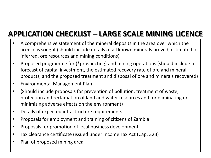### **APPLICATION CHECKLIST – LARGE SCALE MINING LICENCE**

- A comprehensive statement of the mineral deposits in the area over which the licence is sought (should include details of all known minerals proved, estimated or inferred, ore resources and mining conditions)
- Proposed programme for (\*prospecting) and mining operations (should include a forecast of capital investment, the estimated recovery rate of ore and mineral products, and the proposed treatment and disposal of ore and minerals recovered)
- Environmental Management Plan
- (Should include proposals for prevention of pollution, treatment of waste, protection and reclamation of land and water resources and for eliminating or minimizing adverse effects on the environment)
- Details of expected infrastructure requirements
- Proposals for employment and training of citizens of Zambia
- Proposals for promotion of local business development
- Tax clearance certificate (issued under Income Tax Act (Cap. 323)
- Plan of proposed mining area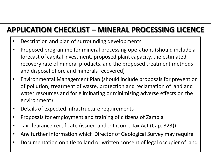### **APPLICATION CHECKLIST – MINERAL PROCESSING LICENCE**

- Description and plan of surrounding developments
- Proposed programme for mineral processing operations (should include a forecast of capital investment, proposed plant capacity, the estimated recovery rate of mineral products, and the proposed treatment methods and disposal of ore and minerals recovered)
- Environmental Management Plan (should include proposals for prevention of pollution, treatment of waste, protection and reclamation of land and water resources and for eliminating or minimizing adverse effects on the environment)
- Details of expected infrastructure requirements
- Proposals for employment and training of citizens of Zambia
- Tax clearance certificate (issued under Income Tax Act (Cap. 323))
- Any further information which Director of Geological Survey may require
- Documentation on title to land or written consent of legal occupier of land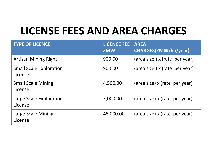## **LICENSE FEES AND AREA CHARGES**

| <b>TYPE OF LICENCE</b>                    | <b>LICENCE FEE</b><br><b>ZMW</b> | <b>AREA</b><br><b>CHARGES(ZMW/ha/year)</b> |
|-------------------------------------------|----------------------------------|--------------------------------------------|
| <b>Artisan Mining Right</b>               | 900.00                           | (area size) x (rate per year)              |
| <b>Small Scale Exploration</b><br>License | 900.00                           | (area size) x (rate per year)              |
| <b>Small Scale Mining</b><br>License      | 4,500.00                         | (area size) x (rate per year)              |
| Large Scale Exploration<br>License        | 3,000.00                         | (area size) x (rate per year)              |
| Large Scale Mining<br>License             | 48,000.00                        | (area size) x (rate per year)              |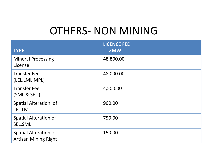### OTHERS- NON MINING

| <b>TYPE</b>                                                 | <b>LICENCE FEE</b><br><b>ZMW</b> |
|-------------------------------------------------------------|----------------------------------|
| <b>Mineral Processing</b><br>License                        | 48,800.00                        |
| <b>Transfer Fee</b><br>(LEL, LML, MPL)                      | 48,000.00                        |
| <b>Transfer Fee</b><br>(SML & SEL)                          | 4,500.00                         |
| Spatial Alteration of<br>LEL, LML                           | 900.00                           |
| <b>Spatial Alteration of</b><br>SEL, SML                    | 750.00                           |
| <b>Spatial Alteration of</b><br><b>Artisan Mining Right</b> | 150.00                           |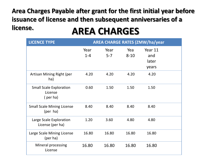#### **AREA CHARGES Area Charges Payable after grant for the first initial year before issuance of license and then subsequent anniversaries of a license.**

| <b>LICENCE TYPE</b>                                   |                 |                 |                 | <b>AREA CHARGE RATES (ZMW/ha/year</b> |  |
|-------------------------------------------------------|-----------------|-----------------|-----------------|---------------------------------------|--|
|                                                       | Year<br>$1 - 4$ | Year<br>$5 - 7$ | Yea<br>$8 - 10$ | Year 11<br>and<br>later<br>years      |  |
| Artisan Mining Right (per<br>ha)                      | 4.20            | 4.20            | 4.20            | 4.20                                  |  |
| <b>Small Scale Exploration</b><br>License<br>(per ha) | 0.60            | 1.50            | 1.50            | 1.50                                  |  |
| <b>Small Scale Mining License</b><br>(per ha)         | 8.40            | 8.40            | 8.40            | 8.40                                  |  |
| Large Scale Exploration<br>License (per ha)           | 1.20            | 3.60            | 4.80            | 4.80                                  |  |
| Large Scale Mining License<br>(per ha)                | 16.80           | 16.80           | 16.80           | 16.80                                 |  |
| Mineral processing<br>License                         | 16.80           | 16.80           | 16.80           | 16.80                                 |  |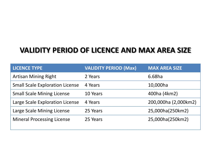#### **VALIDITY PERIOD OF LICENCE AND MAX AREA SIZE**

| <b>LICENCE TYPE</b>                    | <b>VALIDITY PERIOD (Max)</b> | <b>MAX AREA SIZE</b> |
|----------------------------------------|------------------------------|----------------------|
| <b>Artisan Mining Right</b>            | 2 Years                      | 6.68ha               |
| <b>Small Scale Exploration License</b> | 4 Years                      | 10,000ha             |
| <b>Small Scale Mining License</b>      | 10 Years                     | 400ha (4km2)         |
| Large Scale Exploration License        | 4 Years                      | 200,000ha (2,000km2) |
| Large Scale Mining License             | 25 Years                     | 25,000ha(250km2)     |
| <b>Mineral Processing License</b>      | 25 Years                     | 25,000ha(250km2)     |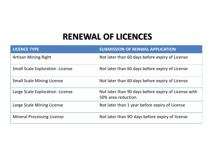### **RENEWAL OF LICENCES**

| <b>LICENCE TYPE</b>                    | <b>SUBMISSION OF RENWAL APPLICATION</b>                                     |
|----------------------------------------|-----------------------------------------------------------------------------|
| <b>Artisan Mining Right</b>            | Not later than 60 days before expiry of License                             |
| <b>Small Scale Exploration License</b> | Not later than 60 days before expiry of License                             |
| <b>Small Scale Mining License</b>      | Not later than 60 days before expiry of License                             |
| Large Scale Exploration License        | Not later than 90 days before expiry of License with<br>50% area reduction. |
| Large Scale Mining License             | Not later than 1 year before expiry of License                              |
| <b>Mineral Processing License</b>      | Not later than 90 days before expiry of license                             |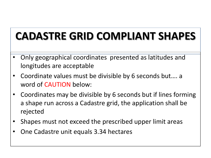## **CADASTRE GRID COMPLIANT SHAPES**

- Only geographical coordinates presented as latitudes and longitudes are acceptable
- Coordinate values must be divisible by 6 seconds but…. a word of CAUTION below:
- Coordinates may be divisible by 6 seconds but if lines forming a shape run across a Cadastre grid, the application shall be rejected
- Shapes must not exceed the prescribed upper limit areas
- One Cadastre unit equals 3.34 hectares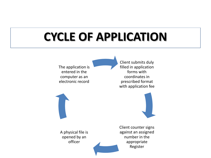# **CYCLE OF APPLICATION**

The application is entered in the computer as an electronic record

A physical file is opened by an officer

Client submits duly filled in application forms with coordinates in prescribed format with application fee



Client counter signs against an assigned number in the appropriate Register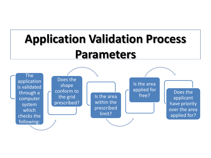# **Application Validation Process Parameters**

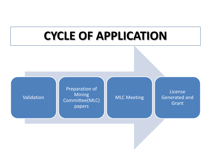### **CYCLE OF APPLICATION**

#### Validation

Preparation of **Mining** Committee(MLC) papers

#### MLC Meeting

License Generated and **Grant**